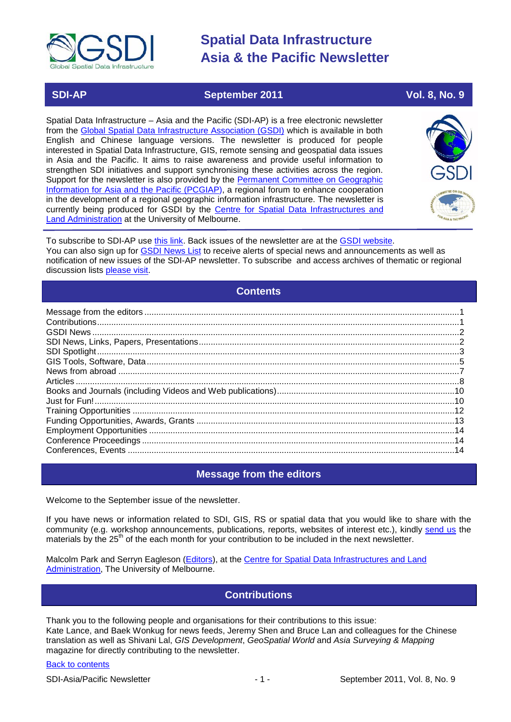

# **SDI-AP September 2011 Vol. 8, No. 9**

Spatial Data Infrastructure – Asia and the Pacific (SDI-AP) is a free electronic newsletter from the [Global Spatial Data Infrastructure Association \(GSDI\)](http://www.gsdi.org/) which is available in both English and Chinese language versions. The newsletter is produced for people interested in Spatial Data Infrastructure, GIS, remote sensing and geospatial data issues in Asia and the Pacific. It aims to raise awareness and provide useful information to strengthen SDI initiatives and support synchronising these activities across the region. Support for the newsletter is also provided by the Permanent Committee on Geographic [Information for Asia and the Pacific \(PCGIAP\)](http://www.pcgiap.org/), a regional forum to enhance cooperation in the development of a regional geographic information infrastructure. The newsletter is currently being produced for GSDI by the [Centre for Spatial Data Infrastructures and](http://www.csdila.unimelb.edu.au/)  [Land Administration](http://www.csdila.unimelb.edu.au/) at the University of Melbourne.



To subscribe to SDI-AP use [this link.](http://www.gsdi.org/newslist/gsdisubscribe.asp) Back issues of the newsletter are at the [GSDI website.](http://www.gsdi.org/newsletters.asp) You can also sign up for **GSDI News List** to receive alerts of special news and announcements as well as notification of new issues of the SDI-AP newsletter. To subscribe and access archives of thematic or regional discussion lists [please visit.](http://www.gsdi.org/discussionlists.asp)

# **Contents**

<span id="page-0-0"></span>

# **Message from the editors**

<span id="page-0-1"></span>Welcome to the September issue of the newsletter.

If you have news or information related to SDI, GIS, RS or spatial data that you would like to share with the community (e.g. workshop announcements, publications, reports, websites of interest etc.), kindly [send us](mailto:.SDI-AP@gsdi.org) the materials by the 25<sup>th</sup> of the each month for your contribution to be included in the next newsletter.

<span id="page-0-2"></span>Malcolm Park and Serryn Eagleson [\(Editors\)](mailto:Editor.SDIAP@gmail.com), at the [Centre for Spatial Data Infrastructures and Land](http://www.csdila.unimelb.edu.au/)  [Administration,](http://www.csdila.unimelb.edu.au/) The University of Melbourne.

# **Contributions**

Thank you to the following people and organisations for their contributions to this issue: Kate Lance, and Baek Wonkug for news feeds, Jeremy Shen and Bruce Lan and colleagues for the Chinese translation as well as Shivani Lal, *GIS Development*, *GeoSpatial World* and *Asia Surveying & Mapping* magazine for directly contributing to the newsletter.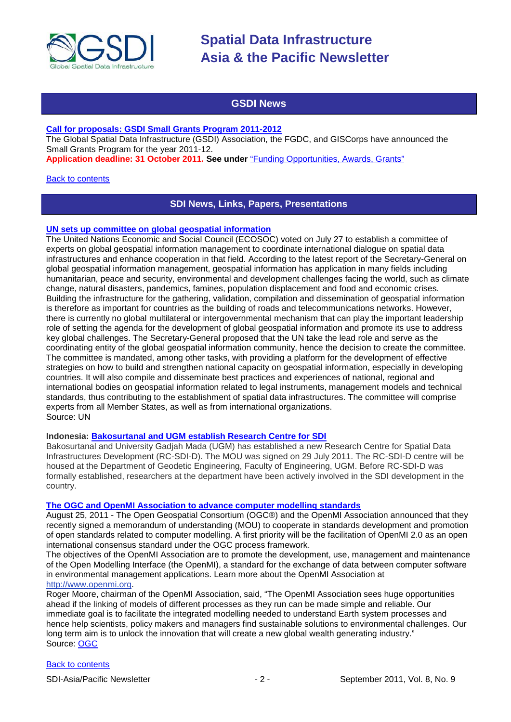

# **GSDI News**

### <span id="page-1-0"></span>**[Call for proposals: GSDI Small Grants Program 2011-2012](http://www.gsdi.org/node/315)**

The Global Spatial Data Infrastructure (GSDI) Association, the FGDC, and GISCorps have announced the Small Grants Program for the year 2011-12.

**Application deadline: 31 October 2011. See under** ["Funding Opportunities, Awards, Grants"](#page-12-0)

#### <span id="page-1-1"></span>**[Back to contents](#page-0-0)**

# **SDI News, Links, Papers, Presentations**

#### **UN sets up committee on global geospatial information**

The United Nations Economic and Social Council (ECOSOC) voted on July 27 to establish a committee of experts on global geospatial information management to coordinate international dialogue on spatial data infrastructures and enhance cooperation in that field. According to the latest report of the Secretary-General on global geospatial information management, geospatial information has application in many fields including humanitarian, peace and security, environmental and development challenges facing the world, such as climate change, natural disasters, pandemics, famines, population displacement and food and economic crises. Building the infrastructure for the gathering, validation, compilation and dissemination of geospatial information is therefore as important for countries as the building of roads and telecommunications networks. However, there is currently no global multilateral or intergovernmental mechanism that can play the important leadership role of setting the agenda for the development of global geospatial information and promote its use to address key global challenges. The Secretary-General proposed that the UN take the lead role and serve as the coordinating entity of the global geospatial information community, hence the decision to create the committee. The committee is mandated, among other tasks, with providing a platform for the development of effective strategies on how to build and strengthen national capacity on geospatial information, especially in developing countries. It will also compile and disseminate best practices and experiences of national, regional and international bodies on geospatial information related to legal instruments, management models and technical standards, thus contributing to the establishment of spatial data infrastructures. The committee will comprise experts from all Member States, as well as from international organizations. Source: UN

### **Indonesia: [Bakosurtanal and UGM establish Research Centre for SDI](http://www.fakultas-teknik.ugm.ac.id/en/information/kerjasama-ftugm-dengan-bakosurtanal.html)**

Bakosurtanal and University Gadjah Mada (UGM) has established a new Research Centre for Spatial Data Infrastructures Development (RC-SDI-D). The MOU was signed on 29 July 2011. The RC-SDI-D centre will be housed at the Department of Geodetic Engineering, Faculty of Engineering, UGM. Before RC-SDI-D was formally established, researchers at the department have been actively involved in the SDI development in the country.

### **[The OGC and OpenMI Association to advance computer modelling standards](http://www.opengeospatial.org/pressroom/pressreleases/1450)**

August 25, 2011 - The Open Geospatial Consortium (OGC®) and the OpenMI Association announced that they recently signed a memorandum of understanding (MOU) to cooperate in standards development and promotion of open standards related to computer modelling. A first priority will be the facilitation of OpenMI 2.0 as an open international consensus standard under the OGC process framework.

The objectives of the OpenMI Association are to promote the development, use, management and maintenance of the Open Modelling Interface (the OpenMI), a standard for the exchange of data between computer software in environmental management applications. Learn more about the OpenMI Association at

# [http://www.openmi.org.](http://www.openmi.org/)

Roger Moore, chairman of the OpenMI Association, said, "The OpenMI Association sees huge opportunities ahead if the linking of models of different processes as they run can be made simple and reliable. Our immediate goal is to facilitate the integrated modelling needed to understand Earth system processes and hence help scientists, policy makers and managers find sustainable solutions to environmental challenges. Our long term aim is to unlock the innovation that will create a new global wealth generating industry." Source: [OGC](http://www.opengeospatial.org/pressroom/pressreleases/1450)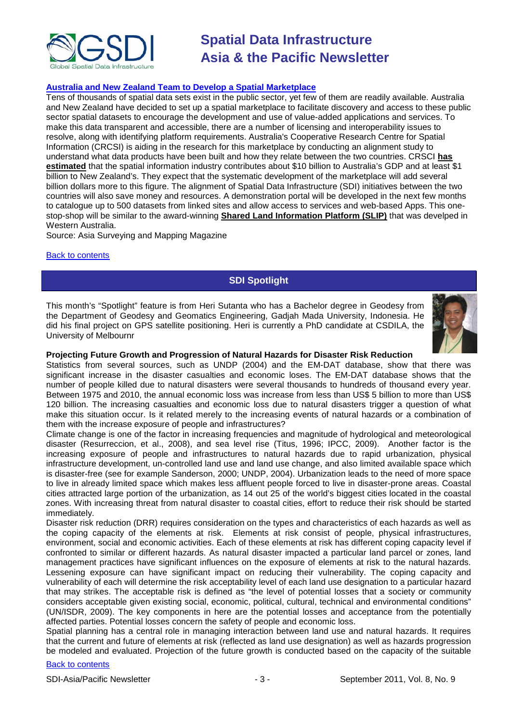

## **[Australia and New Zealand Team to Develop a Spatial Marketplace](http://www.asmmag.com/201108242033/australia-and-new-zealand-team-to-develop-a-spatial-marketplace.html)**

Tens of thousands of spatial data sets exist in the public sector, yet few of them are readily available. Australia and New Zealand have decided to set up a spatial marketplace to facilitate discovery and access to these public sector spatial datasets to encourage the development and use of value-added applications and services. To make this data transparent and accessible, there are a number of licensing and interoperability issues to resolve, along with identifying platform requirements. Australia's Cooperative Research Centre for Spatial Information (CRCSI) is aiding in the research for this marketplace by conducting an alignment study to understand what data products have been built and how they relate between the two countries. CRSCI **[has](http://www.crcsi.com.au/Industry-Devel/Industry-Reports/Value-of-spatial-industry)  [estimated](http://www.crcsi.com.au/Industry-Devel/Industry-Reports/Value-of-spatial-industry)** that the spatial information industry contributes about \$10 billion to Australia's GDP and at least \$1 billion to New Zealand's. They expect that the systematic development of the marketplace will add several billion dollars more to this figure. The alignment of Spatial Data Infrastructure (SDI) initiatives between the two countries will also save money and resources. A demonstration portal will be developed in the next few months to catalogue up to 500 datasets from linked sites and allow access to services and web-based Apps. This onestop-shop will be similar to the award-winning **[Shared Land Information Platform \(SLIP\)](https://www2.landgate.wa.gov.au/web/guest)** that was develped in Western Australia.

Source: Asia Surveying and Mapping Magazine

#### <span id="page-2-0"></span>[Back to contents](#page-0-0)

# **SDI Spotlight**

This month's "Spotlight" feature is from Heri Sutanta who has a Bachelor degree in Geodesy from the [Department of Geodesy and Geomatics Engineering,](http://geodesi.ugm.ac.id/) Gadjah Mada University, Indonesia. He did his final project on GPS satellite positioning. Heri is currently a PhD candidate at CSDILA, the University of Melbournr



### **Projecting Future Growth and Progression of Natural Hazards for Disaster Risk Reduction**

Statistics from several sources, such as UNDP (2004) and the EM-DAT database, show that there was significant increase in the disaster casualties and economic loses. The EM-DAT database shows that the number of people killed due to natural disasters were several thousands to hundreds of thousand every year. Between 1975 and 2010, the annual economic loss was increase from less than US\$ 5 billion to more than US\$ 120 billion. The increasing casualties and economic loss due to natural disasters trigger a question of what make this situation occur. Is it related merely to the increasing events of natural hazards or a combination of them with the increase exposure of people and infrastructures?

Climate change is one of the factor in increasing frequencies and magnitude of hydrological and meteorological disaster (Resurreccion, et al., 2008), and sea level rise (Titus, 1996; IPCC, 2009). Another factor is the increasing exposure of people and infrastructures to natural hazards due to rapid urbanization, physical infrastructure development, un-controlled land use and land use change, and also limited available space which is disaster-free (see for example Sanderson, 2000; UNDP, 2004). Urbanization leads to the need of more space to live in already limited space which makes less affluent people forced to live in disaster-prone areas. Coastal cities attracted large portion of the urbanization, as 14 out 25 of the world's biggest cities located in the coastal zones. With increasing threat from natural disaster to coastal cities, effort to reduce their risk should be started immediately.

Disaster risk reduction (DRR) requires consideration on the types and characteristics of each hazards as well as the coping capacity of the elements at risk. Elements at risk consist of people, physical infrastructures, environment, social and economic activities. Each of these elements at risk has different coping capacity level if confronted to similar or different hazards. As natural disaster impacted a particular land parcel or zones, land management practices have significant influences on the exposure of elements at risk to the natural hazards. Lessening exposure can have significant impact on reducing their vulnerability. The coping capacity and vulnerability of each will determine the risk acceptability level of each land use designation to a particular hazard that may strikes. The acceptable risk is defined as "the level of potential losses that a society or community considers acceptable given existing social, economic, political, cultural, technical and environmental conditions" (UN/ISDR, 2009). The key components in here are the potential losses and acceptance from the potentially affected parties. Potential losses concern the safety of people and economic loss.

Spatial planning has a central role in managing interaction between land use and natural hazards. It requires that the current and future of elements at risk (reflected as land use designation) as well as hazards progression be modeled and evaluated. Projection of the future growth is conducted based on the capacity of the suitable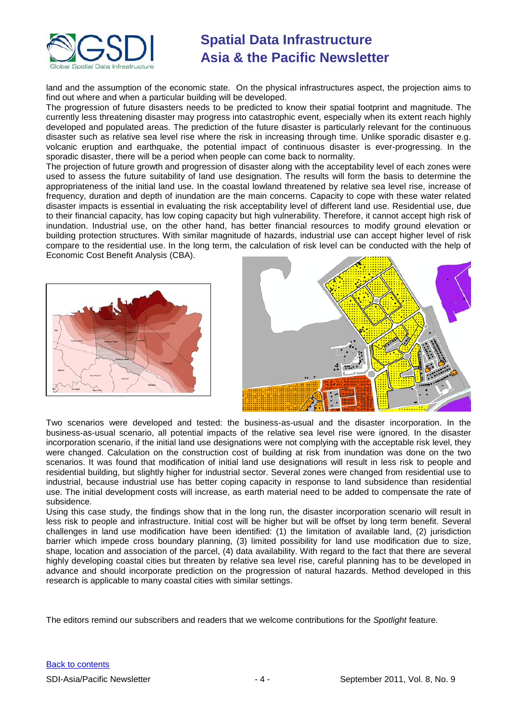

land and the assumption of the economic state. On the physical infrastructures aspect, the projection aims to find out where and when a particular building will be developed.

The progression of future disasters needs to be predicted to know their spatial footprint and magnitude. The currently less threatening disaster may progress into catastrophic event, especially when its extent reach highly developed and populated areas. The prediction of the future disaster is particularly relevant for the continuous disaster such as relative sea level rise where the risk in increasing through time. Unlike sporadic disaster e.g. volcanic eruption and earthquake, the potential impact of continuous disaster is ever-progressing. In the sporadic disaster, there will be a period when people can come back to normality.

The projection of future growth and progression of disaster along with the acceptability level of each zones were used to assess the future suitability of land use designation. The results will form the basis to determine the appropriateness of the initial land use. In the coastal lowland threatened by relative sea level rise, increase of frequency, duration and depth of inundation are the main concerns. Capacity to cope with these water related disaster impacts is essential in evaluating the risk acceptability level of different land use. Residential use, due to their financial capacity, has low coping capacity but high vulnerability. Therefore, it cannot accept high risk of inundation. Industrial use, on the other hand, has better financial resources to modify ground elevation or building protection structures. With similar magnitude of hazards, industrial use can accept higher level of risk compare to the residential use. In the long term, the calculation of risk level can be conducted with the help of Economic Cost Benefit Analysis (CBA).





Two scenarios were developed and tested: the business-as-usual and the disaster incorporation. In the business-as-usual scenario, all potential impacts of the relative sea level rise were ignored. In the disaster incorporation scenario, if the initial land use designations were not complying with the acceptable risk level, they were changed. Calculation on the construction cost of building at risk from inundation was done on the two scenarios. It was found that modification of initial land use designations will result in less risk to people and residential building, but slightly higher for industrial sector. Several zones were changed from residential use to industrial, because industrial use has better coping capacity in response to land subsidence than residential use. The initial development costs will increase, as earth material need to be added to compensate the rate of subsidence.

Using this case study, the findings show that in the long run, the disaster incorporation scenario will result in less risk to people and infrastructure. Initial cost will be higher but will be offset by long term benefit. Several challenges in land use modification have been identified: (1) the limitation of available land, (2) jurisdiction barrier which impede cross boundary planning, (3) limited possibility for land use modification due to size, shape, location and association of the parcel, (4) data availability. With regard to the fact that there are several highly developing coastal cities but threaten by relative sea level rise, careful planning has to be developed in advance and should incorporate prediction on the progression of natural hazards. Method developed in this research is applicable to many coastal cities with similar settings.

The editors remind our subscribers and readers that we welcome contributions for the *Spotlight* feature.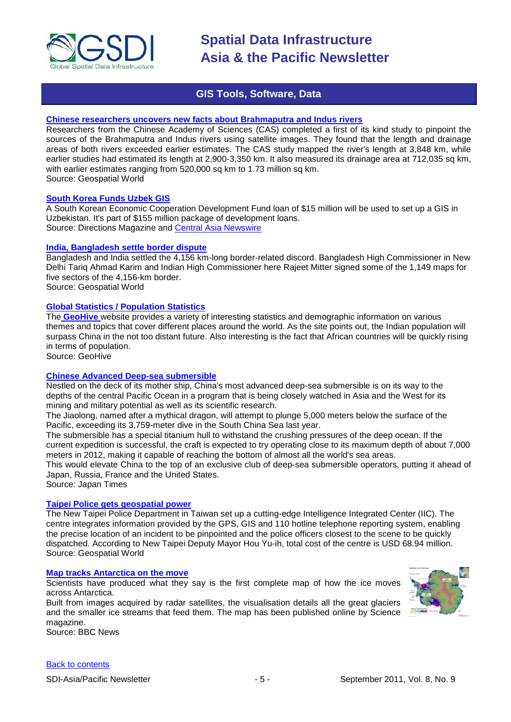

# **GIS Tools, Software, Data**

#### <span id="page-4-0"></span>**[Chinese researchers uncovers new facts about Brahmaputra and Indus rivers](http://geospatialworld.net/index.php?option=com_content&view=article&id=22911:china-reveals-new-facts-about-brahmaputra-indus&catid=74:miscellaneous-research)**

Researchers from the Chinese Academy of Sciences (CAS) completed a first of its kind study to pinpoint the sources of the Brahmaputra and Indus rivers using satellite images. They found that the length and drainage areas of both rivers exceeded earlier estimates. The CAS study mapped the river's length at 3,848 km, while earlier studies had estimated its length at 2,900-3,350 km. It also measured its drainage area at 712,035 sq km, with earlier estimates ranging from 520,000 sq km to 1.73 million sq km. Source: Geospatial World

### **[South Korea Funds Uzbek GIS](http://apb.directionsmag.com/entry/south-korea-funds-uzbek-gis-and-other-international-gis-news/195415)**

A South Korean Economic Cooperation Development Fund loan of \$15 million will be used to set up a GIS in Uzbekistan. It's part of \$155 million package of development loans. Source: Directions Magazine and [Central Asia Newswire](http://www.universalnewswires.com/centralasia/viewstory.aspx?id=4669)

#### **India, Bangladesh settle border dispute**

Bangladesh and India settled the 4,156 km-long border-related discord. Bangladesh High Commissioner in New Delhi Tariq Ahmad Karim and Indian High Commissioner here Rajeet Mitter signed some of the 1,149 maps for five sectors of the 4,156-km border.

Source: Geospatial World

## **[Global Statistics / Population Statistics](http://www.geohive.com/)**

The **[GeoHive](http://www.geohive.com/)** website provides a variety of interesting statistics and demographic information on various themes and topics that cover different places around the world. As the site points out, the Indian population will surpass China in the not too distant future. Also interesting is the fact that African countries will be quickly rising in terms of population.

Source: GeoHive

### **[Chinese Advanced Deep-sea submersible](http://search.japantimes.co.jp/cgi-bin/eo20110713mr.html)**

Nestled on the deck of its mother ship, China's most advanced deep-sea submersible is on its way to the depths of the central Pacific Ocean in a program that is being closely watched in Asia and the West for its mining and military potential as well as its scientific research.

The Jiaolong, named after a mythical dragon, will attempt to plunge 5,000 meters below the surface of the Pacific, exceeding its 3,759-meter dive in the South China Sea last year.

The submersible has a special titanium hull to withstand the crushing pressures of the deep ocean. If the current expedition is successful, the craft is expected to try operating close to its maximum depth of about 7,000 meters in 2012, making it capable of reaching the bottom of almost all the world's sea areas.

This would elevate China to the top of an exclusive club of deep-sea submersible operators, putting it ahead of Japan, Russia, France and the United States.

Source: Japan Times

#### **[Taipei Police gets geospatial power](http://geospatialworld.net/index.php?option=com_content&view=article&id=22914%3Ataipei-police-gets-geospatial-power&catid=62%3Aapplication-e-governance&Itemid=1)**

The New Taipei Police Department in Taiwan set up a cutting-edge Intelligence Integrated Center (IIC). The centre integrates information provided by the GPS, GIS and 110 hotline telephone reporting system, enabling the precise location of an incident to be pinpointed and the police officers closest to the scene to be quickly dispatched. According to New Taipei Deputy Mayor Hou Yu-ih, total cost of the centre is USD 68.94 million. Source: Geospatial World

# **[Map tracks Antarctica on the move](http://www.bbc.co.uk/news/science-environment-14592547)**

Scientists have produced what they say is the first complete map of how the ice moves across [Antarctica.](http://www.bbc.co.uk/science/earth/water_and_ice/antarctica#p00gbg16)

Built from images acquired by radar satellites, the visualisation details all the great glaciers and the smaller ice streams that feed them. The map has been [published online by Science](http://www.sciencemag.org/content/early/2011/08/17/science.1208336)  [magazine.](http://www.sciencemag.org/content/early/2011/08/17/science.1208336)

Source: BBC News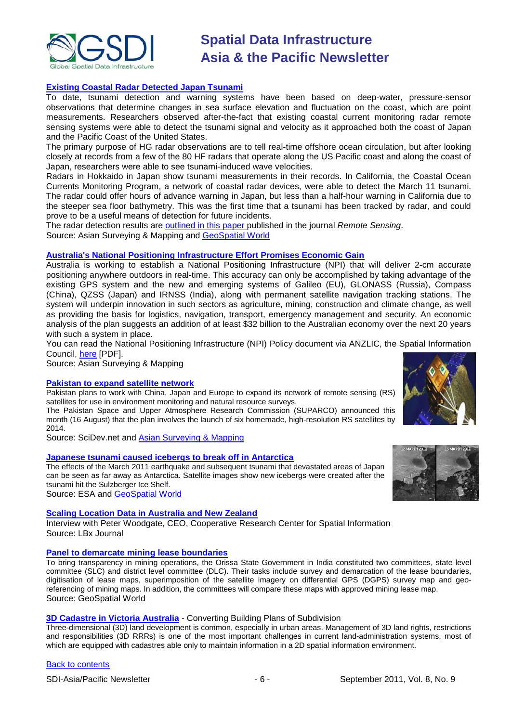

## **[Existing Coastal Radar Detected Japan Tsunami](http://www.asmmag.com/201108192002/existing-coastal-radar-detected-japan-tsunami.html)**

To date, tsunami detection and warning systems have been based on deep-water, pressure-sensor observations that determine changes in sea surface elevation and fluctuation on the coast, which are point measurements. Researchers observed after-the-fact that existing coastal current monitoring radar remote sensing systems were able to detect the tsunami signal and velocity as it approached both the coast of Japan and the Pacific Coast of the United States.

The primary purpose of HG radar observations are to tell real-time offshore ocean circulation, but after looking closely at records from a few of the 80 HF radars that operate along the US Pacific coast and along the coast of Japan, researchers were able to see tsunami-induced wave velocities.

Radars in Hokkaido in Japan show tsunami measurements in their records. In California, the Coastal Ocean Currents Monitoring Program, a network of coastal radar devices, were able to detect the March 11 tsunami. The radar could offer hours of advance warning in Japan, but less than a half-hour warning in California due to the steeper sea floor bathymetry. This was the first time that a tsunami has been tracked by radar, and could prove to be a useful means of detection for future incidents.

The radar detection results are [outlined in this paper p](http://www.mdpi.com/2072-4292/3/8/1663/)ublished in the journal *Remote Sensing*. Source: Asian Surveying & Mapping and [GeoSpatial World](http://geospatialworld.net/index.php?option=com_content&view=article&id=22900%3Aradar-can-detect-tsunamis-study&catid=74%3Amiscellaneous-research&Itemid=1)

#### **[Australia's National Positioning Infrastructure Effort Promises Economic Gain](http://www.asmmag.com/201108181998/australias-national-positioning-infrastructure-effort-promises-economic-gain.html)**

Australia is working to establish a National Positioning Infrastructure (NPI) that will deliver 2-cm accurate positioning anywhere outdoors in real-time. This accuracy can only be accomplished by taking advantage of the existing GPS system and the new and emerging systems of Galileo (EU), GLONASS (Russia), Compass (China), QZSS (Japan) and IRNSS (India), along with permanent satellite navigation tracking stations. The system will underpin innovation in such sectors as agriculture, mining, construction and climate change, as well as providing the basis for logistics, navigation, transport, emergency management and security. An economic analysis of the plan suggests an addition of at least \$32 billion to the Australian economy over the next 20 years with such a system in place.

You can read the National Positioning Infrastructure (NPI) Policy document via ANZLIC, the Spatial Information Council, [here](http://www.anzlic.org.au/Infrastructures/National+Positioning+Infrastructure+-+NPI/NPI+Policy+document/Downloads_GetFile.aspx?id=285) [PDF].

Source: Asian Surveying & Mapping

#### **[Pakistan to expand satellite network](http://www.scidev.net/en/south-asia/news/pakistan-to-expand-satellite-network.html)**

Pakistan plans to work with China, Japan and Europe to expand its network of remote sensing (RS) satellites for use in environment monitoring and natural resource surveys.

The Pakistan Space and Upper Atmosphere Research Commission (SUPARCO) announced this month (16 August) that the plan involves the launch of six homemade, high-resolution RS satellites by 2014.

Source: SciDev.net and [Asian Surveying & Mapping](http://www.asmmag.com/201108302079/pakistan-to-expand-satellite-network.html)

#### **[Japanese tsunami caused icebergs to break off in Antarctica](http://www.esa.int/esaCP/SEMV87JTPQG_index_0.html)**

The effects of the March 2011 earthquake and subsequent tsunami that devastated areas of Japan can be seen as far away as Antarctica. Satellite images show new icebergs were created after the tsunami hit the Sulzberger Ice Shelf. Source: ESA and [GeoSpatial World](http://geospatialworld.net/index.php?option=com_content&view=article&id=22955:japan-tsunami-caused-icebergs-to-break-off-in-antarctica&catid=53:application-natural-hazard-management)

**[Scaling Location Data in Australia and New Zealand](http://www.lbxjournal.com/articles/scaling-location-data-australia-and-new-zealand/260270)**

Interview with Peter Woodgate, CEO, Cooperative Research Center for Spatial Information Source: LBx Journal

#### **[Panel to demarcate mining lease boundaries](http://geospatialworld.net/index.php?option=com_content&view=article&id=22921%3Apanel-to-demarcate-mining-lease-boundaries&catid=78%3Amiscellaneous-policy&Itemid=1)**

To bring transparency in mining operations, the Orissa State Government in India constituted two committees, state level committee (SLC) and district level committee (DLC). Their tasks include survey and demarcation of the lease boundaries, digitisation of lease maps, superimposition of the satellite imagery on differential GPS (DGPS) survey map and georeferencing of mining maps. In addition, the committees will compare these maps with approved mining lease map. Source: GeoSpatial World

#### **3D Cadastre in Victoria Australia** - Converting Building Plans of Subdivision

Three-dimensional (3D) land development is common, especially in urban areas. Management of 3D land rights, restrictions and responsibilities (3D RRRs) is one of the most important challenges in current land-administration systems, most of which are equipped with cadastres able only to maintain information in a 2D spatial information environment.



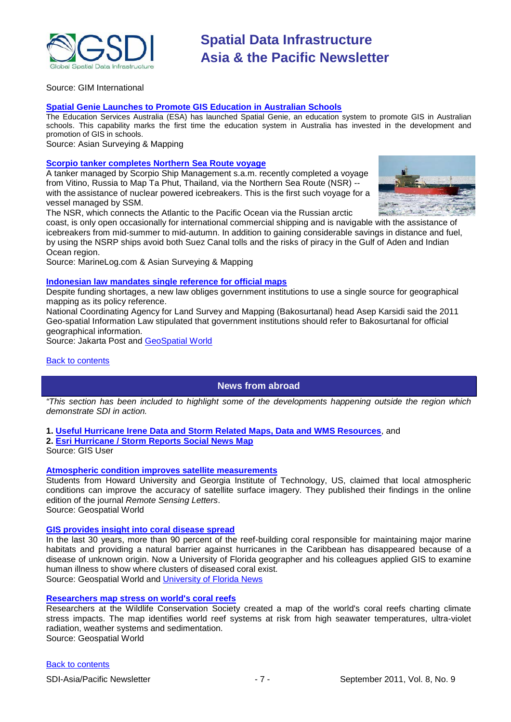

Source: GIM International

#### **[Spatial Genie Launches to Promote GIS Education in Australian Schools](http://www.asmmag.com/201109012090/spatial-genie-launches-to-promote-gis-education-in-australian-schools.html)**

The Education Services Australia (ESA) has launched Spatial Genie, an education system to promote GIS in Australian schools. This capability marks the first time the education system in Australia has invested in the development and promotion of GIS in schools.

Source: Asian Surveying & Mapping

#### **[Scorpio tanker completes Northern Sea Route voyage](http://www.marinelog.com/index.php?option=com_content&view=article&id=1279:2011aug00302&catid=1:latest-news&Itemid=107)**

A tanker managed by Scorpio Ship Management s.a.m. recently completed a voyage from Vitino, Russia to Map Ta Phut, Thailand, via the Northern Sea Route (NSR) - with the assistance of nuclear powered icebreakers. This is the first such voyage for a vessel managed by SSM.

The NSR, which connects the Atlantic to the Pacific Ocean via the Russian arctic

coast, is only open occasionally for international commercial shipping and is navigable with the assistance of icebreakers from mid-summer to mid-autumn. In addition to gaining considerable savings in distance and fuel, by using the NSRP ships avoid both Suez Canal tolls and the risks of piracy in the Gulf of Aden and Indian Ocean region.

Source: MarineLog.com & Asian Surveying & Mapping

#### **[Indonesian law mandates single reference for official maps](http://www.thejakartapost.com/news/2011/07/20/new-law-mandates-single-reference-official-maps.html)**

Despite funding shortages, a new law obliges government institutions to use a single source for geographical mapping as its policy reference.

National Coordinating Agency for Land Survey and Mapping (Bakosurtanal) head Asep Karsidi said the 2011 Geo-spatial Information Law stipulated that government institutions should refer to Bakosurtanal for official geographical information.

Source: Jakarta Post and [GeoSpatial World](http://geospatialworld.net/index.php?option=com_content&view=article&id=22958:indonesian-law-mandates-single-reference-for-official-maps&catid=78:miscellaneous-policy)

<span id="page-6-0"></span>[Back to contents](#page-0-0)

**News from abroad**

*"This section has been included to highlight some of the developments happening outside the region which demonstrate SDI in action.*

**1. [Useful Hurricane Irene Data and Storm Related Maps, Data and WMS Resources](http://www.gisuser.com/content/view/24333/2/)**, and

**2. [Esri Hurricane / Storm Reports Social News Map](http://www.gisuser.com/content/view/24320/2/)**

Source: GIS User

## **Atmospheric condition improves satellite measurements**

Students from Howard University and Georgia Institute of Technology, US, claimed that local atmospheric conditions can improve the accuracy of satellite surface imagery. They published their findings in the online edition of the journal *Remote Sensing Letters*.

Source: Geospatial World

### **[GIS provides insight into coral disease spread](http://geospatialworld.net/index.php?option=com_content&view=article&id=22742%3Agis-provides-insight-into-coral-disease-spread&catid=56%3Aapplication-health&Itemid=1)**

In the last 30 years, more than 90 percent of the reef-building coral responsible for maintaining major marine habitats and providing a natural barrier against hurricanes in the Caribbean has disappeared because of a disease of unknown origin. Now a University of Florida geographer and his colleagues applied GIS to examine human illness to show where clusters of diseased coral exist. Source: Geospatial World and [University of Florida News](http://news.ufl.edu/2011/07/28/white-band-disease/)

#### **[Researchers map stress on world's coral reefs](http://geospatialworld.net/index.php?option=com_content&view=article&id=22862%3Aresearchers-map-stress-on-worlds-coral-reefs&catid=47%3Aproduct-surveying-mapping&Itemid=1)**

Researchers at the Wildlife Conservation Society created a map of the world's coral reefs charting climate stress impacts. The map identifies world reef systems at risk from high seawater temperatures, ultra-violet radiation, weather systems and sedimentation. Source: Geospatial World

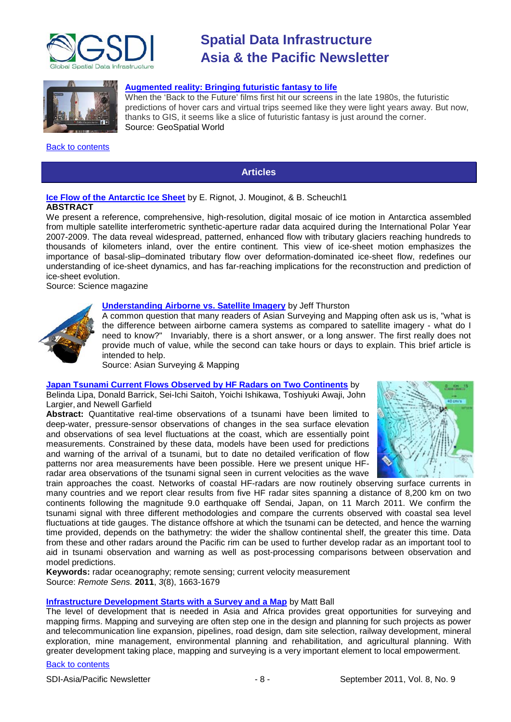



#### **[Augmented reality: Bringing futuristic fantasy to life](http://www.geospatialworld.net/index.php?option=com_content&view=article&id=22943%3Abringing-tokyo-to-the-lounge-room&catid=110%3Aapplication-miscellaneous&Itemid=41)**

When the 'Back to the Future' films first hit our screens in the late 1980s, the futuristic predictions of hover cars and virtual trips seemed like they were light years away. But now, thanks to GIS, it seems like a slice of futuristic fantasy is just around the corner. Source: GeoSpatial World

#### <span id="page-7-0"></span>[Back to contents](#page-0-0)

# **Articles**

# **[Ice Flow of the Antarctic Ice Sheet](http://www.sciencemag.org/content/early/2011/08/17/science.1208336)** by [E. Rignot,](http://www.sciencemag.org/search?author1=E.+Rignot&sortspec=date&submit=Submit) [J. Mouginot,](http://www.sciencemag.org/search?author1=J.+Mouginot&sortspec=date&submit=Submit) & [B. Scheuchl1](http://www.sciencemag.org/search?author1=B.+Scheuchl&sortspec=date&submit=Submit) **ABSTRACT**

We present a reference, comprehensive, high-resolution, digital mosaic of ice motion in Antarctica assembled from multiple satellite interferometric synthetic-aperture radar data acquired during the International Polar Year 2007-2009. The data reveal widespread, patterned, enhanced flow with tributary glaciers reaching hundreds to thousands of kilometers inland, over the entire continent. This view of ice-sheet motion emphasizes the importance of basal-slip–dominated tributary flow over deformation-dominated ice-sheet flow, redefines our understanding of ice-sheet dynamics, and has far-reaching implications for the reconstruction and prediction of ice-sheet evolution.

Source: Science magazine

#### **[Understanding Airborne vs. Satellite Imagery](http://www.asmmag.com/201109012102/understanding-airborne-vs-satellite-imagery.html)** by Jeff Thurston

A common question that many readers of Asian Surveying and Mapping often ask us is, "what is the difference between airborne camera systems as compared to satellite imagery - what do I need to know?" Invariably, there is a short answer, or a long answer. The first really does not provide much of value, while the second can take hours or days to explain. This brief article is intended to help.

Source: Asian Surveying & Mapping

### **[Japan Tsunami Current Flows Observed by HF Radars on Two Continents](http://www.mdpi.com/2072-4292/3/8/1663/)** by

Belinda Lipa, Donald Barrick, Sei-Ichi Saitoh, Yoichi Ishikawa, Toshiyuki Awaji, John Largier, and Newell Garfield

**Abstract:** Quantitative real-time observations of a tsunami have been limited to deep-water, pressure-sensor observations of changes in the sea surface elevation and observations of sea level fluctuations at the coast, which are essentially point measurements. Constrained by these data, models have been used for predictions and warning of the arrival of a tsunami, but to date no detailed verification of flow patterns nor area measurements have been possible. Here we present unique HFradar area observations of the tsunami signal seen in current velocities as the wave



train approaches the coast. Networks of coastal HF-radars are now routinely observing surface currents in many countries and we report clear results from five HF radar sites spanning a distance of 8,200 km on two continents following the magnitude 9.0 earthquake off Sendai, Japan, on 11 March 2011. We confirm the tsunami signal with three different methodologies and compare the currents observed with coastal sea level fluctuations at tide gauges. The distance offshore at which the tsunami can be detected, and hence the warning time provided, depends on the bathymetry: the wider the shallow continental shelf, the greater this time. Data from these and other radars around the Pacific rim can be used to further develop radar as an important tool to aid in tsunami observation and warning as well as post-processing comparisons between observation and model predictions.

**Keywords:** radar oceanography; remote sensing; current velocity measurement Source: *Remote Sens.* **2011**, *3*(8), 1663-1679

#### **[Infrastructure Development Starts with a Survey and a Map](http://www.asmmag.com/201108242035/infrastructure-development-starts-with-a-survey-and-a-map.html)** by Matt Ball

The level of development that is needed in Asia and Africa provides great opportunities for surveying and mapping firms. Mapping and surveying are often step one in the design and planning for such projects as power and telecommunication line expansion, pipelines, road design, dam site selection, railway development, mineral exploration, mine management, environmental planning and rehabilitation, and agricultural planning. With greater development taking place, mapping and surveying is a very important element to local empowerment.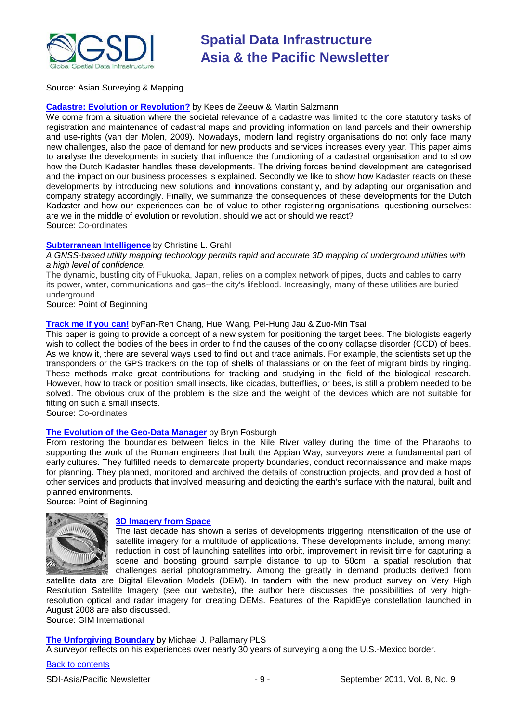

Source: Asian Surveying & Mapping

#### **[Cadastre: Evolution or Revolution?](http://mycoordinates.org/evolution-or-revolution/)** by Kees de Zeeuw & Martin Salzmann

We come from a situation where the societal relevance of a cadastre was limited to the core statutory tasks of registration and maintenance of cadastral maps and providing information on land parcels and their ownership and use-rights (van der Molen, 2009). Nowadays, modern land registry organisations do not only face many new challenges, also the pace of demand for new products and services increases every year. This paper aims to analyse the developments in society that influence the functioning of a cadastral organisation and to show how the Dutch Kadaster handles these developments. The driving forces behind development are categorised and the impact on our business processes is explained. Secondly we like to show how Kadaster reacts on these developments by introducing new solutions and innovations constantly, and by adapting our organisation and company strategy accordingly. Finally, we summarize the consequences of these developments for the Dutch Kadaster and how our experiences can be of value to other registering organisations, questioning ourselves: are we in the middle of evolution or revolution, should we act or should we react? Source: Co-ordinates

### **Subterranean Intelligence** by Christine L. Grahl

#### *A GNSS-based utility mapping technology permits rapid and accurate 3D mapping of underground utilities with a high level of confidence.*

The dynamic, bustling city of Fukuoka, Japan, relies on a complex network of pipes, ducts and cables to carry its power, water, communications and gas--the city's lifeblood. Increasingly, many of these utilities are buried underground.

Source: Point of Beginning

### **[Track me if you can!](http://mycoordinates.org/track-me-if-you-can/)** byFan-Ren Chang, Huei Wang, Pei-Hung Jau & Zuo-Min Tsai

This paper is going to provide a concept of a new system for positioning the target bees. The biologists eagerly wish to collect the bodies of the bees in order to find the causes of the colony collapse disorder (CCD) of bees. As we know it, there are several ways used to find out and trace animals. For example, the scientists set up the transponders or the GPS trackers on the top of shells of thalassians or on the feet of migrant birds by ringing. These methods make great contributions for tracking and studying in the field of the biological research. However, how to track or position small insects, like cicadas, butterflies, or bees, is still a problem needed to be solved. The obvious crux of the problem is the size and the weight of the devices which are not suitable for fitting on such a small insects.

Source: Co-ordinates

#### **[The Evolution of the Geo-Data Manager](http://www.pobonline.com/Articles/Article_Rotation/BNP_GUID_9-5-2006_A_10000000000001080394)** by Bryn Fosburgh

From restoring the boundaries between fields in the Nile River valley during the time of the Pharaohs to supporting the work of the Roman engineers that built the Appian Way, surveyors were a fundamental part of early cultures. They fulfilled needs to demarcate property boundaries, conduct reconnaissance and make maps for planning. They planned, monitored and archived the details of construction projects, and provided a host of other services and products that involved measuring and depicting the earth's surface with the natural, built and planned environments.

Source: Point of Beginning



#### **[3D Imagery from Space](http://www.gim-international.com/issues/articles/id1752-High_Resolution.html)**

The last decade has shown a series of developments triggering intensification of the use of satellite imagery for a multitude of applications. These developments include, among many: reduction in cost of launching satellites into orbit, improvement in revisit time for capturing a scene and boosting ground sample distance to up to 50cm; a spatial resolution that challenges aerial photogrammetry. Among the greatly in demand products derived from

satellite data are Digital Elevation Models (DEM). In tandem with the new product survey on Very High Resolution Satellite Imagery (see our website), the author here discusses the possibilities of very highresolution optical and radar imagery for creating DEMs. Features of the RapidEye constellation launched in August 2008 are also discussed. Source: GIM International

#### **[The Unforgiving Boundary](http://www.pobonline.com/Articles/Features/BNP_GUID_9-5-2006_A_10000000000000949654)** by Michael J. Pallamary PLS

A surveyor reflects on his experiences over nearly 30 years of surveying along the U.S.-Mexico border.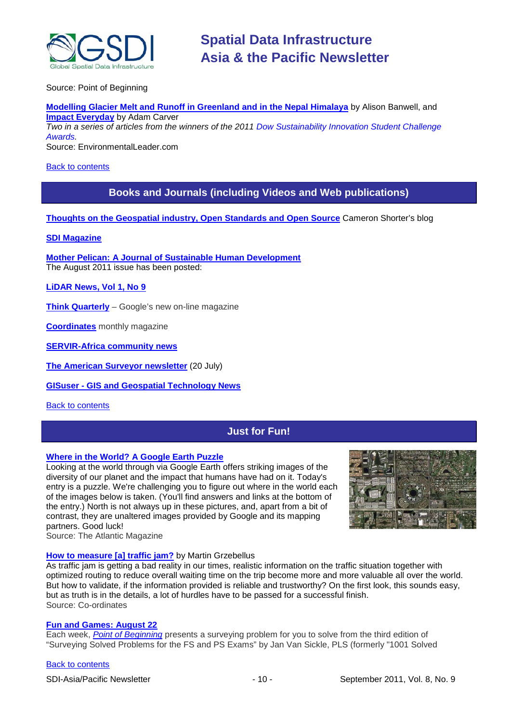

Source: Point of Beginning

**Modelling Glacier Melt and Runoff in Greenland and in the Nepal Himalaya** by Alison Banwell, and **Impact Everyday** by Adam Carver *Two in a series of articles from the winners of the 2011 [Dow Sustainability Innovation Student Challenge](http://www.dow.com/studentchallenge/)*

*[Awards.](http://www.dow.com/studentchallenge/)*

Source: EnvironmentalLeader.com

#### <span id="page-9-0"></span>[Back to contents](#page-0-0)

# **Books and Journals (including Videos and Web publications)**

**[Thoughts on the Geospatial industry, Open Standards and Open Source](http://cameronshorter.blogspot.com/2011/06/memoirs-of-cat-herder-coordinating.html)** Cameron Shorter's blog

### **[SDI Magazine](http://www.sdimag.com/)**

**[Mother Pelican: A Journal of Sustainable Human Development](http://www.pelicanweb.org/solisustv07n08page1.html)** The August 2011 issue has been posted:

**[LiDAR News, Vol 1, No 9](http://www.lidarnews.com/newsletter/Vol1No9.htm)**

**[Think Quarterly](http://thinkquarterly.co.uk/#aboutthebook)** – Google's new on-line magazine

**[Coordinates](http://mycoordinates.org/pdf/june11.pdf)** monthly magazine

**[SERVIR-Africa community news](http://www.servirglobal.net/africa/en/News/CommunityNews.aspx)**

**[The American Surveyor newsletter](http://www.amerisurv.com/newsletter/20JUL2011.htm)** (20 July)

**GISuser - [GIS and Geospatial Technology News](http://www.gisuser.com/)**

<span id="page-9-1"></span>[Back to contents](#page-0-0)

# **Just for Fun!**

#### **[Where in the World? A Google Earth Puzzle](http://www.theatlantic.com/infocus/2011/08/where-in-the-world-a-google-earth-puzzle/100120/)**

Looking at the world through via Google Earth offers striking images of the diversity of our planet and the impact that humans have had on it. Today's entry is a puzzle. We're challenging you to figure out where in the world each of the images below is taken. (You'll find answers and links at the bottom of the entry.) North is not always up in these pictures, and, apart from a bit of contrast, they are unaltered images provided by Google and its mapping partners. Good luck!



Source: The Atlantic Magazine

#### **[How to measure \[a\] traffic jam?](http://mycoordinates.org/how-to-measure-traffic-jam/)** by Martin Grzebellus

As traffic jam is getting a bad reality in our times, realistic information on the traffic situation together with optimized routing to reduce overall waiting time on the trip become more and more valuable all over the world. But how to validate, if the information provided is reliable and trustworthy? On the first look, this sounds easy, but as truth is in the details, a lot of hurdles have to be passed for a successful finish. Source: Co-ordinates

# **[Fun and Games: August 22](http://www.pobonline.com/Articles/Fun_Games/BNP_GUID_9-5-2006_A_10000000000001093454)**

Each week, *[Point of Beginning](http://www.pobonline.com/)* presents a surveying problem for you to solve from the third edition of "Surveying Solved Problems for the FS and PS Exams" by Jan Van Sickle, PLS (formerly "1001 Solved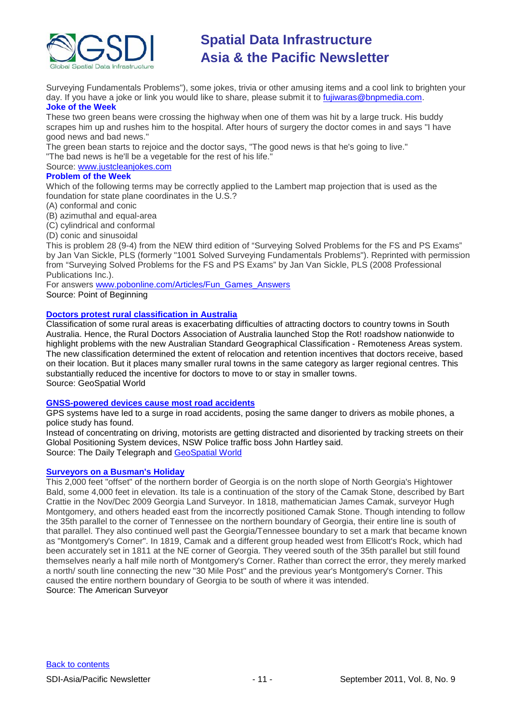

Surveying Fundamentals Problems"), some jokes, trivia or other amusing items and a cool link to brighten your day. If you have a joke or link you would like to share, please submit it to *fujiwaras@bnpmedia.com*. **Joke of the Week**

These two green beans were crossing the highway when one of them was hit by a large truck. His buddy scrapes him up and rushes him to the hospital. After hours of surgery the doctor comes in and says "I have good news and bad news."

The green bean starts to rejoice and the doctor says, "The good news is that he's going to live." "The bad news is he'll be a vegetable for the rest of his life."

# Source: [www.justcleanjokes.com](http://www.justcleanjokes.com/)

# **Problem of the Week**

Which of the following terms may be correctly applied to the Lambert map projection that is used as the foundation for state plane coordinates in the U.S.?

### (A) conformal and conic

- (B) azimuthal and equal-area
- (C) cylindrical and conformal
- (D) conic and sinusoidal

This is problem 28 (9-4) from the NEW third edition of "Surveying Solved Problems for the FS and PS Exams" by Jan Van Sickle, PLS (formerly "1001 Solved Surveying Fundamentals Problems"). Reprinted with permission from "Surveying Solved Problems for the FS and PS Exams" by Jan Van Sickle, PLS (2008 Professional Publications Inc.).

For answers [www.pobonline.com/Articles/Fun\\_Games\\_Answers](http://www.pobonline.com/Articles/Fun_Games_Answers) Source: Point of Beginning

# **[Doctors protest rural classification in Australia](http://www.geospatialworld.net/index.php?option=com_content&view=article&id=22839%3Adoctors-protest-rural-classification-in-australia&catid=56%3Aapplication-health&Itemid=1)**

Classification of some rural areas is exacerbating difficulties of attracting doctors to country towns in South Australia. Hence, the Rural Doctors Association of Australia launched Stop the Rot! roadshow nationwide to highlight problems with the new Australian Standard Geographical Classification - Remoteness Areas system. The new classification determined the extent of relocation and retention incentives that doctors receive, based on their location. But it places many smaller rural towns in the same category as larger regional centres. This substantially reduced the incentive for doctors to move to or stay in smaller towns. Source: GeoSpatial World

#### **[GNSS-powered devices cause most road accidents](http://www.dailytelegraph.com.au/gps-is-leading-us-into-crashes/story-fn6e0s1g-1226109892737)**

GPS systems have led to a surge in road accidents, posing the same danger to drivers as mobile phones, a police study has found.

Instead of concentrating on driving, motorists are getting distracted and disoriented by tracking streets on their Global Positioning System devices, NSW Police traffic boss John Hartley said. Source: The Daily Telegraph and [GeoSpatial World](http://www.geospatialworld.net/index.php?option=com_content&view=article&id=22815%3Agnss-powered-devices-cause-most-road-accidents&catid=61%3Aapplication-transportation-navigation&Itemid=1)

### **[Surveyors on a Busman's Holiday](http://www.amerisurv.com/content/view/9020/153/)**

This 2,000 feet "offset" of the northern border of Georgia is on the north slope of North Georgia's Hightower Bald, some 4,000 feet in elevation. Its tale is a continuation of the story of the Camak Stone, described by Bart Crattie in the Nov/Dec 2009 Georgia Land Surveyor. In 1818, mathematician James Camak, surveyor Hugh Montgomery, and others headed east from the incorrectly positioned Camak Stone. Though intending to follow the 35th parallel to the corner of Tennessee on the northern boundary of Georgia, their entire line is south of that parallel. They also continued well past the Georgia/Tennessee boundary to set a mark that became known as "Montgomery's Corner". In 1819, Camak and a different group headed west from Ellicott's Rock, which had been accurately set in 1811 at the NE corner of Georgia. They veered south of the 35th parallel but still found themselves nearly a half mile north of Montgomery's Corner. Rather than correct the error, they merely marked a north/ south line connecting the new "30 Mile Post" and the previous year's Montgomery's Corner. This caused the entire northern boundary of Georgia to be south of where it was intended. Source: The American Surveyor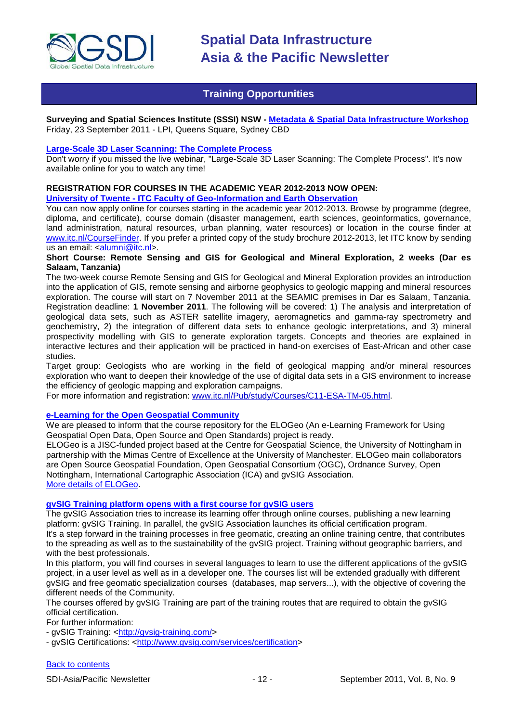

# **Training Opportunities**

<span id="page-11-0"></span>**Surveying and Spatial Sciences Institute (SSSI) NSW - [Metadata & Spatial Data Infrastructure Workshop](http://www.sssi.org.au/userfiles/event_doc1312760375.pdf)** Friday, 23 September 2011 - LPI, Queens Square, Sydney CBD

#### **[Large-Scale 3D Laser Scanning: The Complete Process](http://www.faro.com/site/resources/details/1373?CampaignId=70170000000bbwr)**

Don't worry if you missed the live webinar, "Large-Scale 3D Laser Scanning: The Complete Process". It's now available online for you to watch any time!

#### **REGISTRATION FOR COURSES IN THE ACADEMIC YEAR 2012-2013 NOW OPEN: University of Twente - ITC Faculty of Geo-Information and Earth Observation**

You can now apply online for courses starting in the academic year 2012-2013. Browse by programme (degree, diploma, and certificate), course domain (disaster management, earth sciences, geoinformatics, governance, land administration, natural resources, urban planning, water resources) or location in the course finder at [www.itc.nl/CourseFinder.](http://www.itc.nl/CourseFinder) If you prefer a printed copy of the study brochure 2012-2013, let ITC know by sending us an email: [<alumni@itc.nl>](mailto:alumni@itc.nl).

### **Short Course: Remote Sensing and GIS for Geological and Mineral Exploration, 2 weeks (Dar es Salaam, Tanzania)**

The two-week course Remote Sensing and GIS for Geological and Mineral Exploration provides an introduction into the application of GIS, remote sensing and airborne geophysics to geologic mapping and mineral resources exploration. The course will start on 7 November 2011 at the SEAMIC premises in Dar es Salaam, Tanzania. Registration deadline: **1 November 2011**. The following will be covered: 1) The analysis and interpretation of geological data sets, such as ASTER satellite imagery, aeromagnetics and gamma-ray spectrometry and geochemistry, 2) the integration of different data sets to enhance geologic interpretations, and 3) mineral prospectivity modelling with GIS to generate exploration targets. Concepts and theories are explained in interactive lectures and their application will be practiced in hand-on exercises of East-African and other case studies.

Target group: Geologists who are working in the field of geological mapping and/or mineral resources exploration who want to deepen their knowledge of the use of digital data sets in a GIS environment to increase the efficiency of geologic mapping and exploration campaigns.

For more information and registration: [www.itc.nl/Pub/study/Courses/C11-ESA-TM-05.html.](http://www.itc.nl/Pub/study/Courses/C11-ESA-TM-05.html)

#### **[e-Learning for the Open Geospatial Community](http://elogeo.nottingham.ac.uk/xmlui)**

We are pleased to inform that the course repository for the ELOGeo (An e-Learning Framework for Using Geospatial Open Data, Open Source and Open Standards) project is ready.

ELOGeo is a JISC-funded project based at the Centre for Geospatial Science, the University of Nottingham in partnership with the Mimas Centre of Excellence at the University of Manchester. ELOGeo main collaborators are Open Source Geospatial Foundation, Open Geospatial Consortium (OGC), Ordnance Survey, Open Nottingham, International Cartographic Association (ICA) and gvSIG Association. [More details of ELOGeo.](http://elogeo.nottingham.ac.uk/index.html)

# **gvSIG Training platform opens with a first course for gvSIG users**

The gvSIG Association tries to increase its learning offer through online courses, publishing a new learning platform: gvSIG Training. In parallel, the gvSIG Association launches its official certification program. It's a step forward in the training processes in free geomatic, creating an online training centre, that contributes to the spreading as well as to the sustainability of the gvSIG project. Training without geographic barriers, and with the best professionals.

In this platform, you will find courses in several languages to learn to use the different applications of the gvSIG project, in a user level as well as in a developer one. The courses list will be extended gradually with different gvSIG and free geomatic specialization courses (databases, map servers...), with the objective of covering the different needs of the Community.

The courses offered by gvSIG Training are part of the training routes that are required to obtain the gvSIG official certification.

For further information:

- gvSIG Training: [<http://gvsig-training.com/>](http://gvsig-training.com/)

- gvSIG Certifications: [<http://www.gvsig.com/services/certification>](http://www.gvsig.com/services/certification)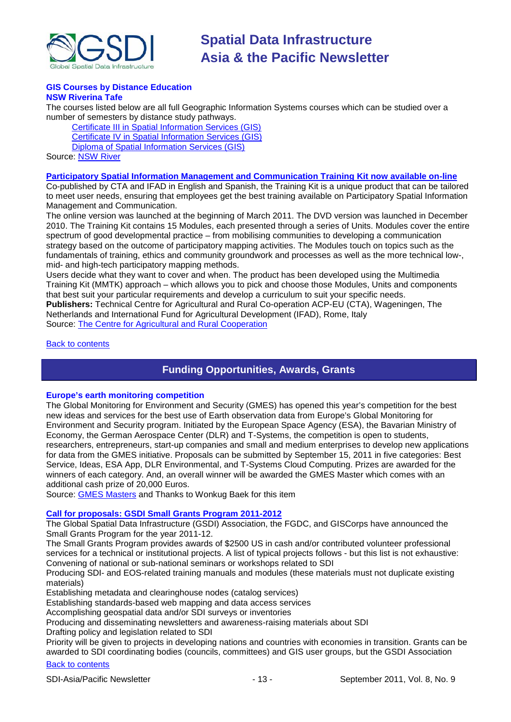

#### **GIS Courses by Distance Education NSW Riverina Tafe**

The courses listed below are all full Geographic Information Systems courses which can be studied over a number of semesters by distance study pathways.

[Certificate III in Spatial Information Services \(GIS\)](http://www.rit.tafensw.edu.au/nec/nrme/giscourses#Cert III in Spatial Information Services (CPP30109)) [Certificate IV in Spatial Information Services \(GIS\)](http://www.rit.tafensw.edu.au/nec/nrme/giscourses#Cert IV in Spatial Information Services (CPP40209)) [Diploma of Spatial Information Services \(GIS\)](http://www.rit.tafensw.edu.au/nec/nrme/giscourses#Diploma of Spatial Information Services (CPP50207)) Sourc[e: NSW River](http://www.rit.tafensw.edu.au/nec/nrme/giscourses)

#### **[Participatory Spatial Information Management and Communication Training Kit now available on-line](http://www.cta.int/en/About-us/CTA-news/Participatory-Spatial-Information-Management-and-Communication-Training-Kit-now-available-on-line)**

Co-published by CTA and IFAD in English and Spanish, the Training Kit is a unique product that can be tailored to meet user needs, ensuring that employees get the best training available on Participatory Spatial Information Management and Communication.

The [online version](http://pgis-tk.cta.int/) was launched at the beginning of March 2011. The DVD version was launched in December 2010. The Training Kit contains 15 Modules, each presented through a series of Units. Modules cover the entire spectrum of good developmental practice – from mobilising communities to developing a communication strategy based on the outcome of participatory mapping activities. The Modules touch on topics such as the fundamentals of training, ethics and community groundwork and processes as well as the more technical low-, mid- and high-tech participatory mapping methods.

Users decide what they want to cover and when. The product has been developed using the Multimedia Training Kit (MMTK) approach – which allows you to pick and choose those Modules, Units and components that best suit your particular requirements and develop a curriculum to suit your specific needs. **Publishers:** Technical Centre for Agricultural and Rural Co-operation ACP-EU (CTA), Wageningen, The Netherlands and International Fund for Agricultural Development (IFAD), Rome, Italy Source: [The Centre for Agricultural and Rural Cooperation](http://www.cta.int/en/About-us/Who-we-are)

<span id="page-12-0"></span>[Back to contents](#page-0-0)

# **Funding Opportunities, Awards, Grants**

# **Europe's earth monitoring competition**

The Global Monitoring for Environment and Security (GMES) has opened this year's competition for the best new ideas and services for the best use of Earth observation data from Europe's Global Monitoring for Environment and Security program. Initiated by the European Space Agency (ESA), the Bavarian Ministry of Economy, the German Aerospace Center (DLR) and T-Systems, the competition is open to students, researchers, entrepreneurs, start-up companies and small and medium enterprises to develop new applications for data from the GMES initiative. Proposals can be submitted by September 15, 2011 in five categories: Best Service, Ideas, ESA App, DLR Environmental, and T-Systems Cloud Computing. Prizes are awarded for the winners of each category. And, an overall winner will be awarded the GMES Master which comes with an additional cash prize of 20,000 Euros.

Source: [GMES Masters](http://www.gmes-masters.com/competition) and Thanks to Wonkug Baek for this item

# **[Call for proposals: GSDI Small Grants Program 2011-2012](http://www.gsdi.org/node/315)**

The Global Spatial Data Infrastructure (GSDI) Association, the FGDC, and GISCorps have announced the Small Grants Program for the year 2011-12.

The Small Grants Program provides awards of \$2500 US in cash and/or contributed volunteer professional services for a technical or institutional projects. A list of typical projects follows - but this list is not exhaustive: Convening of national or sub-national seminars or workshops related to SDI

Producing SDI- and EOS-related training manuals and modules (these materials must not duplicate existing materials)

Establishing metadata and clearinghouse nodes (catalog services)

Establishing standards-based web mapping and data access services

Accomplishing geospatial data and/or SDI surveys or inventories

Producing and disseminating newsletters and awareness-raising materials about SDI

Drafting policy and legislation related to SDI

Priority will be given to projects in developing nations and countries with economies in transition. Grants can be awarded to SDI coordinating bodies (councils, committees) and GIS user groups, but the GSDI Association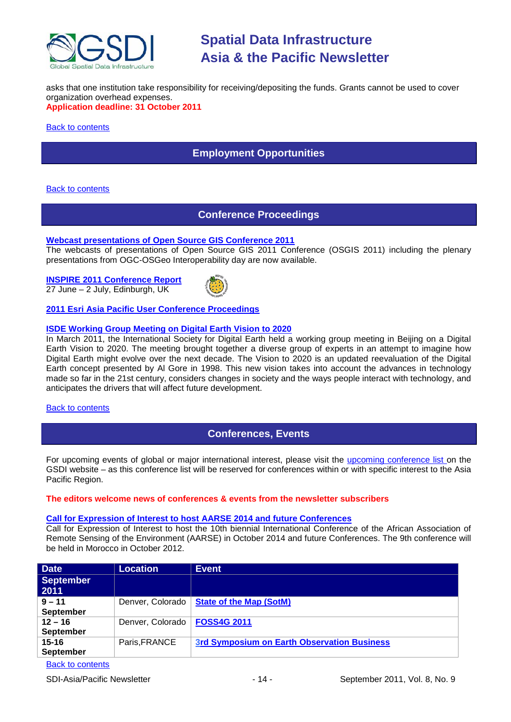

asks that one institution take responsibility for receiving/depositing the funds. Grants cannot be used to cover organization overhead expenses. **Application deadline: 31 October 2011**

<span id="page-13-0"></span>**[Back to contents](#page-0-0)** 

# **Employment Opportunities**

#### <span id="page-13-1"></span>**[Back to contents](#page-0-0)**

# **Conference Proceedings**

#### **[Webcast presentations of Open Source GIS Conference 2011](http://cgs.nottingham.ac.uk/~osgis11/os_call_info.html)**

The webcasts of presentations of Open Source GIS 2011 Conference (OSGIS 2011) including the plenary presentations from OGC-OSGeo Interoperability day are now available.

**[INSPIRE 2011 Conference Report](http://www.sdimag.com/20110708150/events/event-coverage/inspire-2011-conference-report.html)** 27 June – 2 July, Edinburgh, UK



### **[2011 Esri Asia Pacific User Conference Proceedings](http://www.geodata.com.ph/index.php?option=com_content&view=article&id=226:2011-apuc-proceedings&catid=45:new-a-events)**

# **[ISDE Working Group Meeting on Digital Earth Vision to 2020](http://www.digitalearth-isde.org/news/Digital%20Earth%20Vision%20to%202020.html)**

In March 2011, the International Society for Digital Earth held a working group meeting in Beijing on a Digital Earth Vision to 2020. The meeting brought together a diverse group of experts in an attempt to imagine how Digital Earth might evolve over the next decade. The Vision to 2020 is an updated reevaluation of the Digital Earth concept presented by Al Gore in 1998. This new vision takes into account the advances in technology made so far in the 21st century, considers changes in society and the ways people interact with technology, and anticipates the drivers that will affect future development.

#### <span id="page-13-2"></span>**[Back to contents](#page-0-0)**

# **Conferences, Events**

For upcoming events of global or major international interest, please visit the [upcoming conference list o](http://gsdi.org/events/upcnf.asp)n the GSDI website – as this conference list will be reserved for conferences within or with specific interest to the Asia Pacific Region.

#### **The editors welcome news of conferences & events from the newsletter subscribers**

#### **[Call for Expression of Interest to host AARSE 2014 and](http://lists.gsdi.org/pipermail/sdi-africa/2010-November/001135.html) future Conferences**

Call for Expression of Interest to host the 10th biennial International Conference of the African Association of Remote Sensing of the Environment (AARSE) in October 2014 and future Conferences. The 9th conference will be held in Morocco in October 2012.

| <b>Date</b>                   | <b>Location</b>  | <b>Event</b>                                       |
|-------------------------------|------------------|----------------------------------------------------|
| September<br>2011             |                  |                                                    |
| $9 - 11$<br>September         | Denver, Colorado | <b>State of the Map (SotM)</b>                     |
| $12 - 16$<br><b>September</b> | Denver, Colorado | <b>FOSS4G 2011</b>                                 |
| $15 - 16$<br><b>September</b> | Paris, FRANCE    | <b>3rd Symposium on Earth Observation Business</b> |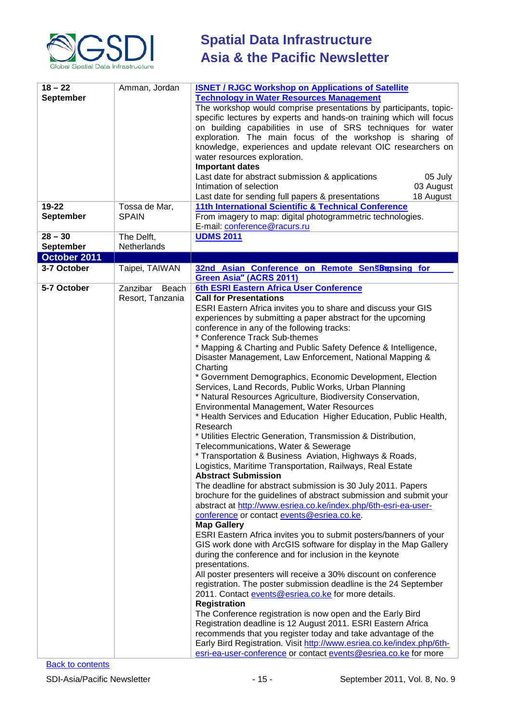

| $18 - 22$        | Amman, Jordan     | <b>ISNET / RJGC Workshop on Applications of Satellite</b>                  |
|------------------|-------------------|----------------------------------------------------------------------------|
| <b>September</b> |                   | <b>Technology in Water Resources Management</b>                            |
|                  |                   | The workshop would comprise presentations by participants, topic-          |
|                  |                   | specific lectures by experts and hands-on training which will focus        |
|                  |                   | on building capabilities in use of SRS techniques for water                |
|                  |                   | exploration. The main focus of the workshop is sharing of                  |
|                  |                   | knowledge, experiences and update relevant OIC researchers on              |
|                  |                   | water resources exploration.                                               |
|                  |                   | <b>Important dates</b>                                                     |
|                  |                   | Last date for abstract submission & applications<br>05 July                |
|                  |                   | Intimation of selection<br>03 August                                       |
|                  |                   | Last date for sending full papers & presentations<br>18 August             |
| 19-22            | Tossa de Mar,     | 11th International Scientific & Technical Conference                       |
| <b>September</b> | <b>SPAIN</b>      | From imagery to map: digital photogrammetric technologies.                 |
|                  |                   | E-mail: conference@racurs.ru                                               |
| $28 - 30$        | The Delft,        | <b>UDMS 2011</b>                                                           |
| <b>September</b> | Netherlands       |                                                                            |
| October 2011     |                   |                                                                            |
| 3-7 October      | Taipei, TAIWAN    | 32nd Asian Conference on Remote Sens&gnsing for                            |
|                  |                   | <b>Green Asia" (ACRS 2011)</b>                                             |
| 5-7 October      | Zanzibar<br>Beach | 6th ESRI Eastern Africa User Conference                                    |
|                  | Resort, Tanzania  | <b>Call for Presentations</b>                                              |
|                  |                   | ESRI Eastern Africa invites you to share and discuss your GIS              |
|                  |                   | experiences by submitting a paper abstract for the upcoming                |
|                  |                   | conference in any of the following tracks:                                 |
|                  |                   | * Conference Track Sub-themes                                              |
|                  |                   | * Mapping & Charting and Public Safety Defence & Intelligence,             |
|                  |                   | Disaster Management, Law Enforcement, National Mapping &                   |
|                  |                   | Charting                                                                   |
|                  |                   | * Government Demographics, Economic Development, Election                  |
|                  |                   | Services, Land Records, Public Works, Urban Planning                       |
|                  |                   | * Natural Resources Agriculture, Biodiversity Conservation,                |
|                  |                   | Environmental Management, Water Resources                                  |
|                  |                   | * Health Services and Education Higher Education, Public Health,           |
|                  |                   | Research                                                                   |
|                  |                   | * Utilities Electric Generation, Transmission & Distribution,              |
|                  |                   | Telecommunications, Water & Sewerage                                       |
|                  |                   | * Transportation & Business Aviation, Highways & Roads,                    |
|                  |                   | Logistics, Maritime Transportation, Railways, Real Estate                  |
|                  |                   | <b>Abstract Submission</b>                                                 |
|                  |                   | The deadline for abstract submission is 30 July 2011. Papers               |
|                  |                   | brochure for the guidelines of abstract submission and submit your         |
|                  |                   | abstract at http://www.esriea.co.ke/index.php/6th-esri-ea-user-            |
|                  |                   | conference or contact events@esriea.co.ke.                                 |
|                  |                   | <b>Map Gallery</b>                                                         |
|                  |                   | ESRI Eastern Africa invites you to submit posters/banners of your          |
|                  |                   | GIS work done with ArcGIS software for display in the Map Gallery          |
|                  |                   | during the conference and for inclusion in the keynote                     |
|                  |                   | presentations.                                                             |
|                  |                   | All poster presenters will receive a 30% discount on conference            |
|                  |                   | registration. The poster submission deadline is the 24 September           |
|                  |                   | 2011. Contact events@esriea.co.ke for more details.<br><b>Registration</b> |
|                  |                   | The Conference registration is now open and the Early Bird                 |
|                  |                   | Registration deadline is 12 August 2011. ESRI Eastern Africa               |
|                  |                   | recommends that you register today and take advantage of the               |
|                  |                   | Early Bird Registration. Visit http://www.esriea.co.ke/index.php/6th-      |
|                  |                   | esri-ea-user-conference or contact events@esriea.co.ke for more            |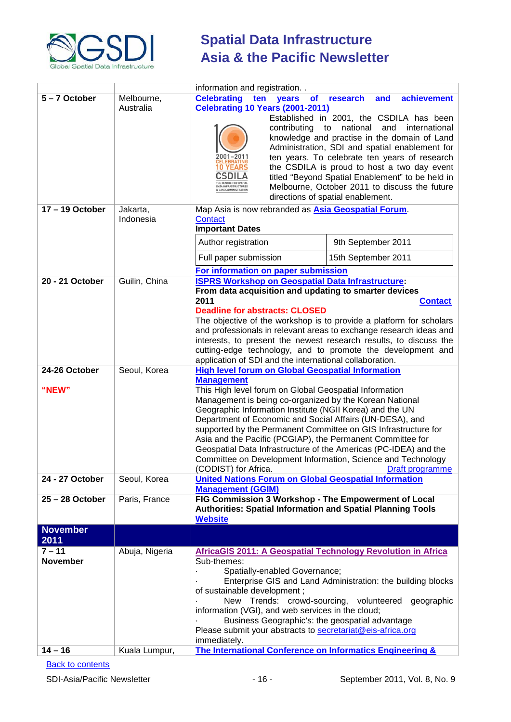

|                                          |                                 | information and registration                                                                                                                                                                                                                                                                                                                                                                                                                                                                                                                                                                                                                                                                    |
|------------------------------------------|---------------------------------|-------------------------------------------------------------------------------------------------------------------------------------------------------------------------------------------------------------------------------------------------------------------------------------------------------------------------------------------------------------------------------------------------------------------------------------------------------------------------------------------------------------------------------------------------------------------------------------------------------------------------------------------------------------------------------------------------|
| 5-7 October                              | Melbourne,<br>Australia         | <b>Celebrating</b><br>achievement<br>ten<br>research<br>and<br>years<br><b>of</b><br><b>Celebrating 10 Years (2001-2011)</b><br>Established in 2001, the CSDILA has been<br>national<br>contributing<br>to<br>and<br>international<br>knowledge and practise in the domain of Land<br>Administration, SDI and spatial enablement for<br>2001–2011<br>ten years. To celebrate ten years of research<br><b>10 YEARS</b><br>the CSDILA is proud to host a two day event<br>CSDILA<br>titled "Beyond Spatial Enablement" to be held in<br>HE CENTRE FOR SPATIAL<br>Melbourne, October 2011 to discuss the future<br>DATA INFRASTRUCTURES<br>AND ADMINISTRATION<br>directions of spatial enablement. |
| 17-19 October                            | Jakarta,<br>Indonesia           | Map Asia is now rebranded as <b>Asia Geospatial Forum</b> .<br>Contact<br><b>Important Dates</b><br>Author registration<br>9th September 2011<br>15th September 2011<br>Full paper submission<br>For information on paper submission                                                                                                                                                                                                                                                                                                                                                                                                                                                            |
| 20 - 21 October                          | Guilin, China                   | <b>ISPRS Workshop on Geospatial Data Infrastructure:</b><br>From data acquisition and updating to smarter devices<br>2011<br><b>Contact</b><br><b>Deadline for abstracts: CLOSED</b><br>The objective of the workshop is to provide a platform for scholars<br>and professionals in relevant areas to exchange research ideas and<br>interests, to present the newest research results, to discuss the<br>cutting-edge technology, and to promote the development and<br>application of SDI and the international collaboration.                                                                                                                                                                |
| 24-26 October<br>"NEW"                   | Seoul, Korea                    | <b>High level forum on Global Geospatial Information</b><br><b>Management</b><br>This High level forum on Global Geospatial Information<br>Management is being co-organized by the Korean National<br>Geographic Information Institute (NGII Korea) and the UN<br>Department of Economic and Social Affairs (UN-DESA), and<br>supported by the Permanent Committee on GIS Infrastructure for<br>Asia and the Pacific (PCGIAP), the Permanent Committee for<br>Geospatial Data Infrastructure of the Americas (PC-IDEA) and the<br>Committee on Development Information, Science and Technology<br>(CODIST) for Africa.<br>Draft programme                                                       |
| 24 - 27 October<br>25-28 October         | Seoul, Korea<br>Paris, France   | <b>United Nations Forum on Global Geospatial Information</b><br><b>Management (GGIM)</b><br>FIG Commission 3 Workshop - The Empowerment of Local                                                                                                                                                                                                                                                                                                                                                                                                                                                                                                                                                |
|                                          |                                 | <b>Authorities: Spatial Information and Spatial Planning Tools</b><br><b>Website</b>                                                                                                                                                                                                                                                                                                                                                                                                                                                                                                                                                                                                            |
| <b>November</b><br>2011                  |                                 |                                                                                                                                                                                                                                                                                                                                                                                                                                                                                                                                                                                                                                                                                                 |
| $7 - 11$<br><b>November</b><br>$14 - 16$ | Abuja, Nigeria<br>Kuala Lumpur, | <b>AfricaGIS 2011: A Geospatial Technology Revolution in Africa</b><br>Sub-themes:<br>Spatially-enabled Governance;<br>Enterprise GIS and Land Administration: the building blocks<br>of sustainable development;<br>New Trends: crowd-sourcing, volunteered<br>geographic<br>information (VGI), and web services in the cloud;<br>Business Geographic's: the geospatial advantage<br>Please submit your abstracts to secretariat@eis-africa.org<br>immediately.<br>The International Conference on Informatics Engineering &                                                                                                                                                                   |
|                                          |                                 |                                                                                                                                                                                                                                                                                                                                                                                                                                                                                                                                                                                                                                                                                                 |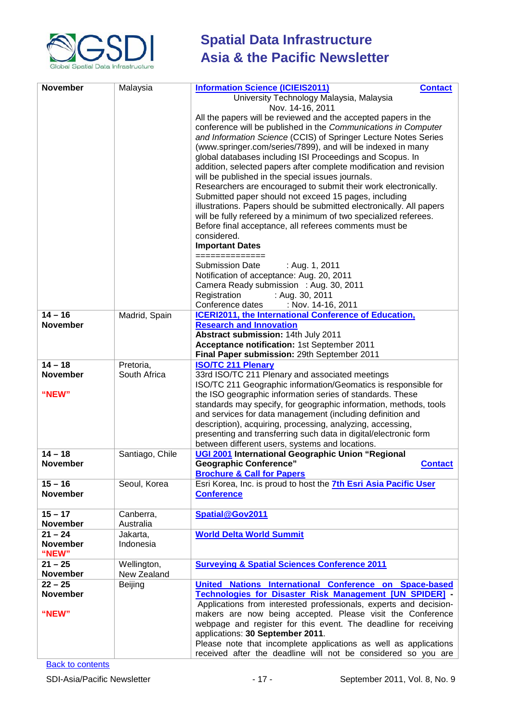

| <b>November</b>              | Malaysia                   | <b>Information Science (ICIEIS2011)</b><br><b>Contact</b><br>University Technology Malaysia, Malaysia<br>Nov. 14-16, 2011<br>All the papers will be reviewed and the accepted papers in the<br>conference will be published in the Communications in Computer<br>and Information Science (CCIS) of Springer Lecture Notes Series<br>(www.springer.com/series/7899), and will be indexed in many<br>global databases including ISI Proceedings and Scopus. In<br>addition, selected papers after complete modification and revision<br>will be published in the special issues journals.<br>Researchers are encouraged to submit their work electronically.<br>Submitted paper should not exceed 15 pages, including<br>illustrations. Papers should be submitted electronically. All papers<br>will be fully refereed by a minimum of two specialized referees.<br>Before final acceptance, all referees comments must be<br>considered.<br><b>Important Dates</b><br>============== |
|------------------------------|----------------------------|--------------------------------------------------------------------------------------------------------------------------------------------------------------------------------------------------------------------------------------------------------------------------------------------------------------------------------------------------------------------------------------------------------------------------------------------------------------------------------------------------------------------------------------------------------------------------------------------------------------------------------------------------------------------------------------------------------------------------------------------------------------------------------------------------------------------------------------------------------------------------------------------------------------------------------------------------------------------------------------|
|                              |                            | <b>Submission Date</b><br>: Aug. 1, 2011<br>Notification of acceptance: Aug. 20, 2011<br>Camera Ready submission : Aug. 30, 2011                                                                                                                                                                                                                                                                                                                                                                                                                                                                                                                                                                                                                                                                                                                                                                                                                                                     |
|                              |                            | Registration<br>: Aug. 30, 2011<br>Conference dates<br>: Nov. 14-16, 2011                                                                                                                                                                                                                                                                                                                                                                                                                                                                                                                                                                                                                                                                                                                                                                                                                                                                                                            |
| $14 - 16$                    | Madrid, Spain              | ICERI2011, the International Conference of Education,                                                                                                                                                                                                                                                                                                                                                                                                                                                                                                                                                                                                                                                                                                                                                                                                                                                                                                                                |
| <b>November</b>              |                            | <b>Research and Innovation</b>                                                                                                                                                                                                                                                                                                                                                                                                                                                                                                                                                                                                                                                                                                                                                                                                                                                                                                                                                       |
|                              |                            | Abstract submission: 14th July 2011<br>Acceptance notification: 1st September 2011                                                                                                                                                                                                                                                                                                                                                                                                                                                                                                                                                                                                                                                                                                                                                                                                                                                                                                   |
|                              |                            | Final Paper submission: 29th September 2011                                                                                                                                                                                                                                                                                                                                                                                                                                                                                                                                                                                                                                                                                                                                                                                                                                                                                                                                          |
| $14 - 18$<br><b>November</b> | Pretoria,<br>South Africa  | <b>ISO/TC 211 Plenary</b><br>33rd ISO/TC 211 Plenary and associated meetings                                                                                                                                                                                                                                                                                                                                                                                                                                                                                                                                                                                                                                                                                                                                                                                                                                                                                                         |
| "NEW"                        |                            | ISO/TC 211 Geographic information/Geomatics is responsible for<br>the ISO geographic information series of standards. These<br>standards may specify, for geographic information, methods, tools<br>and services for data management (including definition and<br>description), acquiring, processing, analyzing, accessing,<br>presenting and transferring such data in digital/electronic form<br>between different users, systems and locations.                                                                                                                                                                                                                                                                                                                                                                                                                                                                                                                                  |
| $14 - 18$<br>November        | Santiago, Chile            | UGI 2001 International Geographic Union "Regional<br><b>Geographic Conference"</b><br><b>Contact</b><br><b>Brochure &amp; Call for Papers</b>                                                                                                                                                                                                                                                                                                                                                                                                                                                                                                                                                                                                                                                                                                                                                                                                                                        |
| $15 - 16$<br><b>November</b> | Seoul, Korea               | Esri Korea, Inc. is proud to host the 7th Esri Asia Pacific User<br><b>Conference</b>                                                                                                                                                                                                                                                                                                                                                                                                                                                                                                                                                                                                                                                                                                                                                                                                                                                                                                |
| $15 - 17$<br><b>November</b> | Canberra,<br>Australia     | Spatial@Gov2011                                                                                                                                                                                                                                                                                                                                                                                                                                                                                                                                                                                                                                                                                                                                                                                                                                                                                                                                                                      |
| $21 - 24$                    | Jakarta,                   | <b>World Delta World Summit</b>                                                                                                                                                                                                                                                                                                                                                                                                                                                                                                                                                                                                                                                                                                                                                                                                                                                                                                                                                      |
| <b>November</b><br>"NEW"     | Indonesia                  |                                                                                                                                                                                                                                                                                                                                                                                                                                                                                                                                                                                                                                                                                                                                                                                                                                                                                                                                                                                      |
| $21 - 25$<br><b>November</b> | Wellington,<br>New Zealand | <b>Surveying &amp; Spatial Sciences Conference 2011</b>                                                                                                                                                                                                                                                                                                                                                                                                                                                                                                                                                                                                                                                                                                                                                                                                                                                                                                                              |
| $22 - 25$                    | Beijing                    | United Nations International Conference on Space-based                                                                                                                                                                                                                                                                                                                                                                                                                                                                                                                                                                                                                                                                                                                                                                                                                                                                                                                               |
| <b>November</b><br>"NEW"     |                            | Technologies for Disaster Risk Management [UN SPIDER] -<br>Applications from interested professionals, experts and decision-<br>makers are now being accepted. Please visit the Conference<br>webpage and register for this event. The deadline for receiving<br>applications: 30 September 2011.<br>Please note that incomplete applications as well as applications<br>received after the deadline will not be considered so you are                                                                                                                                                                                                                                                                                                                                                                                                                                                                                                                                               |
|                              |                            |                                                                                                                                                                                                                                                                                                                                                                                                                                                                                                                                                                                                                                                                                                                                                                                                                                                                                                                                                                                      |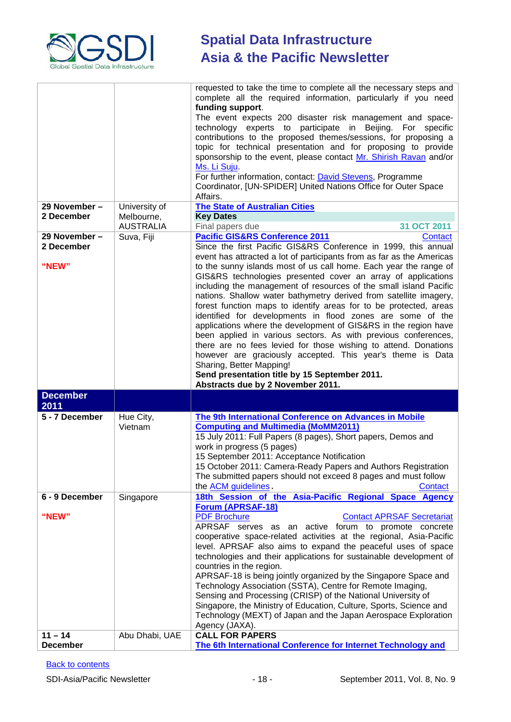

|                              |                                | requested to take the time to complete all the necessary steps and<br>complete all the required information, particularly if you need<br>funding support.<br>The event expects 200 disaster risk management and space-<br>technology experts to participate in Beijing. For specific                                                                                                                                                                                                                                                                                                                                                                                                                               |
|------------------------------|--------------------------------|--------------------------------------------------------------------------------------------------------------------------------------------------------------------------------------------------------------------------------------------------------------------------------------------------------------------------------------------------------------------------------------------------------------------------------------------------------------------------------------------------------------------------------------------------------------------------------------------------------------------------------------------------------------------------------------------------------------------|
|                              |                                | contributions to the proposed themes/sessions, for proposing a<br>topic for technical presentation and for proposing to provide<br>sponsorship to the event, please contact Mr. Shirish Ravan and/or<br>Ms. Li Suju.                                                                                                                                                                                                                                                                                                                                                                                                                                                                                               |
|                              |                                | For further information, contact: David Stevens, Programme<br>Coordinator, [UN-SPIDER] United Nations Office for Outer Space<br>Affairs.                                                                                                                                                                                                                                                                                                                                                                                                                                                                                                                                                                           |
| 29 November -                | University of                  | <b>The State of Australian Cities</b>                                                                                                                                                                                                                                                                                                                                                                                                                                                                                                                                                                                                                                                                              |
| 2 December                   | Melbourne,<br><b>AUSTRALIA</b> | <b>Key Dates</b><br>31 OCT 2011<br>Final papers due                                                                                                                                                                                                                                                                                                                                                                                                                                                                                                                                                                                                                                                                |
| 29 November -                | Suva, Fiji                     | <b>Pacific GIS&amp;RS Conference 2011</b><br>Contact                                                                                                                                                                                                                                                                                                                                                                                                                                                                                                                                                                                                                                                               |
| 2 December                   |                                | Since the first Pacific GIS&RS Conference in 1999, this annual<br>event has attracted a lot of participants from as far as the Americas                                                                                                                                                                                                                                                                                                                                                                                                                                                                                                                                                                            |
| "NEW"                        |                                | to the sunny islands most of us call home. Each year the range of<br>GIS&RS technologies presented cover an array of applications<br>including the management of resources of the small island Pacific<br>nations. Shallow water bathymetry derived from satellite imagery,<br>forest function maps to identify areas for to be protected, areas<br>identified for developments in flood zones are some of the<br>applications where the development of GIS&RS in the region have<br>been applied in various sectors. As with previous conferences,<br>there are no fees levied for those wishing to attend. Donations<br>however are graciously accepted. This year's theme is Data                               |
|                              |                                | Sharing, Better Mapping!<br>Send presentation title by 15 September 2011.<br>Abstracts due by 2 November 2011.                                                                                                                                                                                                                                                                                                                                                                                                                                                                                                                                                                                                     |
| <b>December</b><br>2011      |                                |                                                                                                                                                                                                                                                                                                                                                                                                                                                                                                                                                                                                                                                                                                                    |
| 5 - 7 December               | Hue City,<br>Vietnam           | <b>The 9th International Conference on Advances in Mobile</b><br><b>Computing and Multimedia (MoMM2011)</b><br>15 July 2011: Full Papers (8 pages), Short papers, Demos and<br>work in progress (5 pages)<br>15 September 2011: Acceptance Notification<br>15 October 2011: Camera-Ready Papers and Authors Registration<br>The submitted papers should not exceed 8 pages and must follow<br>the ACM guidelines.<br>Contact                                                                                                                                                                                                                                                                                       |
| 6 - 9 December               | Singapore                      | 18th Session of the Asia-Pacific Regional Space Agency<br><b>Forum (APRSAF-18)</b>                                                                                                                                                                                                                                                                                                                                                                                                                                                                                                                                                                                                                                 |
| "NEW"                        |                                | <b>PDF Brochure</b><br><b>Contact APRSAF Secretariat</b><br>APRSAF serves as an active forum to promote concrete<br>cooperative space-related activities at the regional, Asia-Pacific<br>level. APRSAF also aims to expand the peaceful uses of space<br>technologies and their applications for sustainable development of<br>countries in the region.<br>APRSAF-18 is being jointly organized by the Singapore Space and<br>Technology Association (SSTA), Centre for Remote Imaging,<br>Sensing and Processing (CRISP) of the National University of<br>Singapore, the Ministry of Education, Culture, Sports, Science and<br>Technology (MEXT) of Japan and the Japan Aerospace Exploration<br>Agency (JAXA). |
| $11 - 14$<br><b>December</b> | Abu Dhabi, UAE                 | <b>CALL FOR PAPERS</b><br>The 6th International Conference for Internet Technology and                                                                                                                                                                                                                                                                                                                                                                                                                                                                                                                                                                                                                             |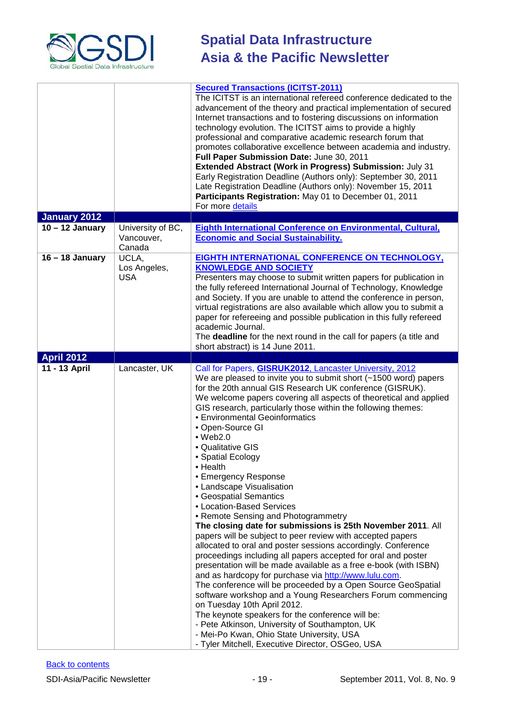

|                   |                                           | <b>Secured Transactions (ICITST-2011)</b><br>The ICITST is an international refereed conference dedicated to the<br>advancement of the theory and practical implementation of secured<br>Internet transactions and to fostering discussions on information<br>technology evolution. The ICITST aims to provide a highly<br>professional and comparative academic research forum that<br>promotes collaborative excellence between academia and industry.<br>Full Paper Submission Date: June 30, 2011<br>Extended Abstract (Work in Progress) Submission: July 31<br>Early Registration Deadline (Authors only): September 30, 2011<br>Late Registration Deadline (Authors only): November 15, 2011<br>Participants Registration: May 01 to December 01, 2011<br>For more details                                                                                                                                                                                                                                                                                                                                                                                                                                                                                                                                                                                                        |
|-------------------|-------------------------------------------|------------------------------------------------------------------------------------------------------------------------------------------------------------------------------------------------------------------------------------------------------------------------------------------------------------------------------------------------------------------------------------------------------------------------------------------------------------------------------------------------------------------------------------------------------------------------------------------------------------------------------------------------------------------------------------------------------------------------------------------------------------------------------------------------------------------------------------------------------------------------------------------------------------------------------------------------------------------------------------------------------------------------------------------------------------------------------------------------------------------------------------------------------------------------------------------------------------------------------------------------------------------------------------------------------------------------------------------------------------------------------------------|
| January 2012      |                                           |                                                                                                                                                                                                                                                                                                                                                                                                                                                                                                                                                                                                                                                                                                                                                                                                                                                                                                                                                                                                                                                                                                                                                                                                                                                                                                                                                                                          |
| $10 - 12$ January | University of BC,<br>Vancouver,<br>Canada | Eighth International Conference on Environmental, Cultural,<br><b>Economic and Social Sustainability.</b>                                                                                                                                                                                                                                                                                                                                                                                                                                                                                                                                                                                                                                                                                                                                                                                                                                                                                                                                                                                                                                                                                                                                                                                                                                                                                |
| $16 - 18$ January | UCLA,<br>Los Angeles,<br><b>USA</b>       | <b>EIGHTH INTERNATIONAL CONFERENCE ON TECHNOLOGY,</b><br><b>KNOWLEDGE AND SOCIETY</b><br>Presenters may choose to submit written papers for publication in<br>the fully refereed International Journal of Technology, Knowledge<br>and Society. If you are unable to attend the conference in person,<br>virtual registrations are also available which allow you to submit a<br>paper for refereeing and possible publication in this fully refereed<br>academic Journal.<br>The deadline for the next round in the call for papers (a title and<br>short abstract) is 14 June 2011.                                                                                                                                                                                                                                                                                                                                                                                                                                                                                                                                                                                                                                                                                                                                                                                                    |
| <b>April 2012</b> |                                           |                                                                                                                                                                                                                                                                                                                                                                                                                                                                                                                                                                                                                                                                                                                                                                                                                                                                                                                                                                                                                                                                                                                                                                                                                                                                                                                                                                                          |
| 11 - 13 April     | Lancaster, UK                             | Call for Papers, <b>GISRUK2012</b> , Lancaster University, 2012<br>We are pleased to invite you to submit short (~1500 word) papers<br>for the 20th annual GIS Research UK conference (GISRUK).<br>We welcome papers covering all aspects of theoretical and applied<br>GIS research, particularly those within the following themes:<br>• Environmental Geoinformatics<br>• Open-Source GI<br>$\bullet$ Web2.0<br>• Qualitative GIS<br>• Spatial Ecology<br>• Health<br>• Emergency Response<br>• Landscape Visualisation<br>• Geospatial Semantics<br>• Location-Based Services<br>• Remote Sensing and Photogrammetry<br>The closing date for submissions is 25th November 2011. All<br>papers will be subject to peer review with accepted papers<br>allocated to oral and poster sessions accordingly. Conference<br>proceedings including all papers accepted for oral and poster<br>presentation will be made available as a free e-book (with ISBN)<br>and as hardcopy for purchase via http://www.lulu.com.<br>The conference will be proceeded by a Open Source GeoSpatial<br>software workshop and a Young Researchers Forum commencing<br>on Tuesday 10th April 2012.<br>The keynote speakers for the conference will be:<br>- Pete Atkinson, University of Southampton, UK<br>- Mei-Po Kwan, Ohio State University, USA<br>- Tyler Mitchell, Executive Director, OSGeo, USA |